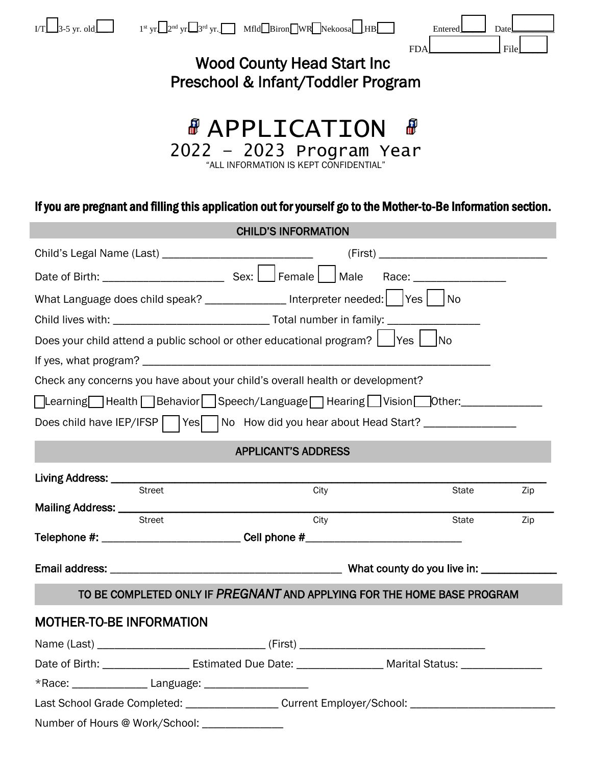|                                                                                                | 3-5 yr. old $1^{\text{st}}$ yr $2^{\text{nd}}$ yr $3^{\text{rd}}$ yr. Mfld Biron WR Nekoosa $\perp$ HB         | Entered | Date |  |
|------------------------------------------------------------------------------------------------|----------------------------------------------------------------------------------------------------------------|---------|------|--|
| <b>FDA</b><br>File<br><b>Wood County Head Start Inc.</b><br>Preschool & Infant/Toddler Program |                                                                                                                |         |      |  |
|                                                                                                | <b><i>&amp;</i></b> APPLICATION<br>2022 - 2023 Program Year<br>"ALL INFORMATION IS KEPT CONFIDENTIAL"          | ₩       |      |  |
|                                                                                                | If you are pregnant and filling this application out for yourself go to the Mother-to-Be Information section.  |         |      |  |
|                                                                                                | <b>CHILD'S INFORMATION</b>                                                                                     |         |      |  |
|                                                                                                |                                                                                                                |         |      |  |
|                                                                                                |                                                                                                                |         |      |  |
|                                                                                                | What Language does child speak? ________________ Interpreter needed:   Yes     No                              |         |      |  |
|                                                                                                |                                                                                                                |         |      |  |
|                                                                                                | Does your child attend a public school or other educational program? $\Box$ Yes $\Box$ No                      |         |      |  |
|                                                                                                |                                                                                                                |         |      |  |
|                                                                                                | Check any concerns you have about your child's overall health or development?                                  |         |      |  |
|                                                                                                | □Learning Belth Behavior   Speech/Language   Hearing   Vision   Other: ______________                          |         |      |  |
|                                                                                                | Does child have IEP/IFSP   Yes     No How did you hear about Head Start? ______________                        |         |      |  |
|                                                                                                | <b>APPLICANT'S ADDRESS</b>                                                                                     |         |      |  |
| Living Address: _________                                                                      |                                                                                                                |         |      |  |
|                                                                                                | <b>Street</b><br>City                                                                                          | State   | Zip  |  |
| Mailing Address: ___________                                                                   | City<br><b>Street</b>                                                                                          | State   | Zip  |  |
|                                                                                                | Telephone #: __________________________Cell phone #_____________________________                               |         |      |  |
|                                                                                                |                                                                                                                |         |      |  |
|                                                                                                | TO BE COMPLETED ONLY IF PREGNANT AND APPLYING FOR THE HOME BASE PROGRAM                                        |         |      |  |
|                                                                                                |                                                                                                                |         |      |  |
|                                                                                                | <b>MOTHER-TO-BE INFORMATION</b>                                                                                |         |      |  |
|                                                                                                |                                                                                                                |         |      |  |
|                                                                                                | Date of Birth: ______________________ Estimated Due Date: ______________________ Marital Status: _____________ |         |      |  |
|                                                                                                |                                                                                                                |         |      |  |
|                                                                                                | Last School Grade Completed: _____________________Current Employer/School: _________________________           |         |      |  |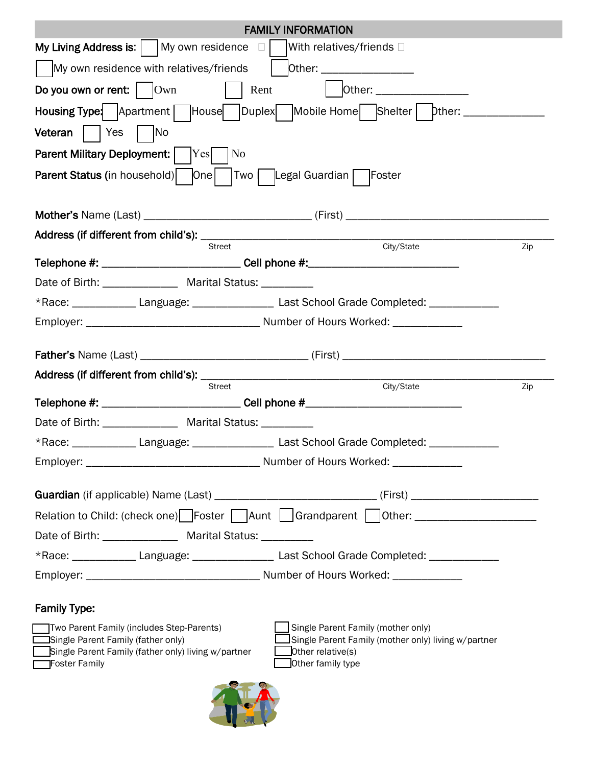| <b>FAMILY INFORMATION</b>                                                                                                              |                                                                                                                |  |  |
|----------------------------------------------------------------------------------------------------------------------------------------|----------------------------------------------------------------------------------------------------------------|--|--|
| My Living Address is: $\vert$ $\vert$ My own residence $\Box$<br> With relatives/friends □                                             |                                                                                                                |  |  |
| My own residence with relatives/friends<br>Other: ____________________<br>$\mathbf{I}$                                                 |                                                                                                                |  |  |
| Do you own or rent: $\vert$ $\vert$ Own<br>Rent                                                                                        | Other: __________________                                                                                      |  |  |
|                                                                                                                                        | Housing Type: Apartment   House   Duplex   Mobile Home   Shelter   Dther: ____________                         |  |  |
| <b>Veteran</b>   Yes<br>$\vert$ No                                                                                                     |                                                                                                                |  |  |
| Parent Military Deployment:  <br>$\rm Yes$<br> No                                                                                      |                                                                                                                |  |  |
|                                                                                                                                        |                                                                                                                |  |  |
|                                                                                                                                        |                                                                                                                |  |  |
|                                                                                                                                        |                                                                                                                |  |  |
|                                                                                                                                        |                                                                                                                |  |  |
| <b>Street</b><br>Telephone #: ___________________________Cell phone #:___________________________                                      | City/State<br>Zip                                                                                              |  |  |
| Date of Birth: ________________ Marital Status: __________                                                                             |                                                                                                                |  |  |
| *Race: _______________Language: _____________________Last School Grade Completed: _________________                                    |                                                                                                                |  |  |
|                                                                                                                                        |                                                                                                                |  |  |
|                                                                                                                                        |                                                                                                                |  |  |
|                                                                                                                                        |                                                                                                                |  |  |
| <b>Street</b>                                                                                                                          | City/State<br>Zip                                                                                              |  |  |
| Telephone #: __________________________Cell phone #_____________________________                                                       |                                                                                                                |  |  |
| Date of Birth: Marital Status: Marital Status:                                                                                         |                                                                                                                |  |  |
| *Race: _______________Language: _____________________Last School Grade Completed: ____                                                 |                                                                                                                |  |  |
|                                                                                                                                        |                                                                                                                |  |  |
| Guardian (if applicable) Name (Last) ________________________________(First) _______________________                                   |                                                                                                                |  |  |
| Relation to Child: (check one) Foster Aunt   Grandparent   Other: ______________                                                       |                                                                                                                |  |  |
| Date of Birth: _______________ Marital Status: _________                                                                               |                                                                                                                |  |  |
|                                                                                                                                        |                                                                                                                |  |  |
|                                                                                                                                        |                                                                                                                |  |  |
| *Race: _______________Language: _____________________Last School Grade Completed: _________________                                    |                                                                                                                |  |  |
|                                                                                                                                        |                                                                                                                |  |  |
| <b>Family Type:</b>                                                                                                                    |                                                                                                                |  |  |
| Two Parent Family (includes Step-Parents)<br>Single Parent Family (father only)<br>Single Parent Family (father only) living w/partner | Single Parent Family (mother only)<br>Single Parent Family (mother only) living w/partner<br>Other relative(s) |  |  |

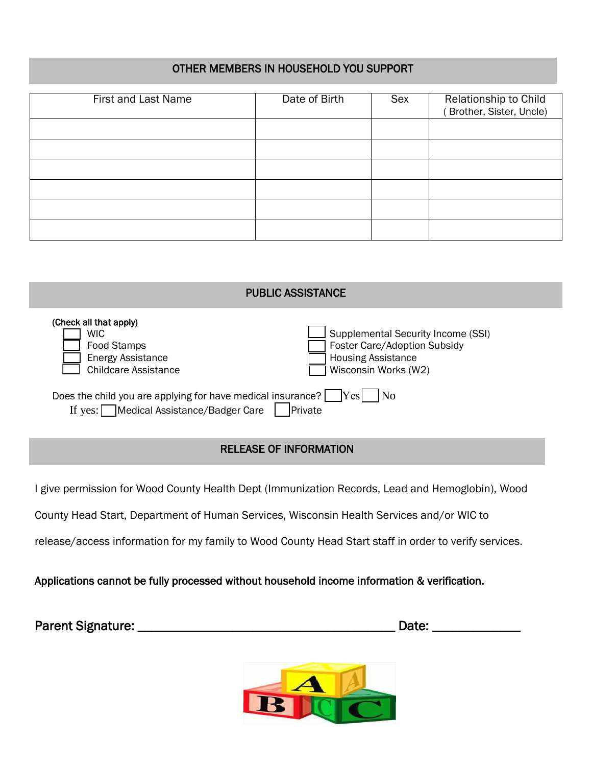## OTHER MEMBERS IN HOUSEHOLD YOU SUPPORT

| First and Last Name | Date of Birth | Sex | Relationship to Child<br>Brother, Sister, Uncle) |
|---------------------|---------------|-----|--------------------------------------------------|
|                     |               |     |                                                  |
|                     |               |     |                                                  |
|                     |               |     |                                                  |
|                     |               |     |                                                  |
|                     |               |     |                                                  |
|                     |               |     |                                                  |

| <b>PUBLIC ASSISTANCE</b>                                                                                                                      |                                                                                                                         |  |
|-----------------------------------------------------------------------------------------------------------------------------------------------|-------------------------------------------------------------------------------------------------------------------------|--|
| (Check all that apply)<br>WIC<br>Food Stamps<br><b>Energy Assistance</b><br><b>Childcare Assistance</b>                                       | Supplemental Security Income (SSI)<br>Foster Care/Adoption Subsidy<br><b>Housing Assistance</b><br>Wisconsin Works (W2) |  |
| Does the child you are applying for have medical insurance? $\Box$ Yes<br>l No<br>Medical Assistance/Badger Care<br><b>Private</b><br>If yes: |                                                                                                                         |  |

## RELEASE OF INFORMATION

I give permission for Wood County Health Dept (Immunization Records, Lead and Hemoglobin), Wood

County Head Start, Department of Human Services, Wisconsin Health Services and/or WIC to

release/access information for my family to Wood County Head Start staff in order to verify services.

Applications cannot be fully processed without household income information & verification.

| <b>Parent Signature:</b> | Date: |
|--------------------------|-------|
|--------------------------|-------|